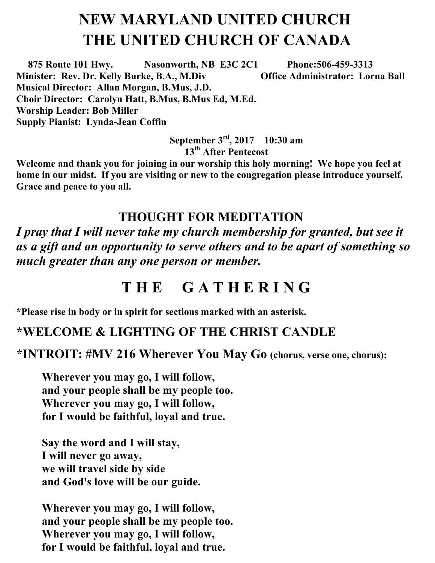# **NEW MARYLAND UNITED CHURCH THE UNITED CHURCH OF CANADA**

 **875 Route 101 Hwy. Nasonworth, NB E3C 2C1 Phone:506-459-3313 Minister: Rev. Dr. Kelly Burke, B.A., M.Div Office Administrator: Lorna Ball Musical Director: Allan Morgan, B.Mus, J.D. Choir Director: Carolyn Hatt, B.Mus, B.Mus Ed, M.Ed. Worship Leader: Bob Miller Supply Pianist: Lynda-Jean Coffin** 

> **September 3rd , 2017 10:30 am 13th After Pentecost**

**Welcome and thank you for joining in our worship this holy morning! We hope you feel at home in our midst. If you are visiting or new to the congregation please introduce yourself. Grace and peace to you all.**

#### **THOUGHT FOR MEDITATION**

*I pray that I will never take my church membership for granted, but see it as a gift and an opportunity to serve others and to be apart of something so much greater than any one person or member.*

### **T H E G A T H E R I N G**

**\*Please rise in body or in spirit for sections marked with an asterisk.**

#### **\*WELCOME & LIGHTING OF THE CHRIST CANDLE**

**\*INTROIT: #MV 216 Wherever You May Go (chorus, verse one, chorus):**

**Wherever you may go, I will follow, and your people shall be my people too. Wherever you may go, I will follow, for I would be faithful, loyal and true.**

**Say the word and I will stay, I will never go away, we will travel side by side and God's love will be our guide.** 

**Wherever you may go, I will follow, and your people shall be my people too. Wherever you may go, I will follow, for I would be faithful, loyal and true.**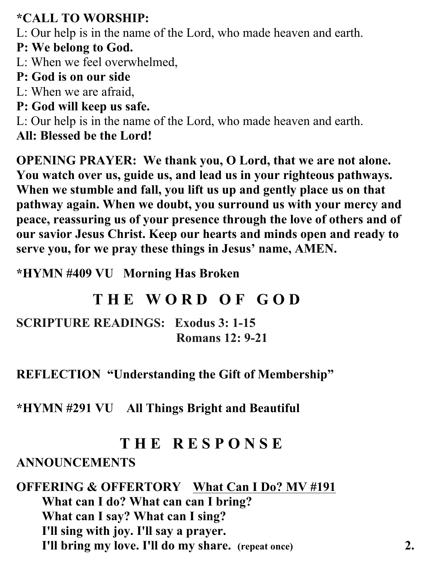### **\*CALL TO WORSHIP:**

L: Our help is in the name of the Lord, who made heaven and earth.

### **P: We belong to God.**

L: When we feel overwhelmed,

### **P: God is on our side**

L: When we are afraid,

### **P: God will keep us safe.**

L: Our help is in the name of the Lord, who made heaven and earth.

**All: Blessed be the Lord!** 

**OPENING PRAYER: We thank you, O Lord, that we are not alone. You watch over us, guide us, and lead us in your righteous pathways. When we stumble and fall, you lift us up and gently place us on that pathway again. When we doubt, you surround us with your mercy and peace, reassuring us of your presence through the love of others and of our savior Jesus Christ. Keep our hearts and minds open and ready to serve you, for we pray these things in Jesus' name, AMEN.** 

**\*HYMN #409 VU Morning Has Broken** 

## **T H E W O R D O F G O D**

**SCRIPTURE READINGS: Exodus 3: 1-15 Romans 12: 9-21**

**REFLECTION "Understanding the Gift of Membership"** 

**\*HYMN #291 VU All Things Bright and Beautiful** 

### **T H E R E S P O N S E**

### **ANNOUNCEMENTS**

### **OFFERING & OFFERTORY What Can I Do? MV #191 What can I do? What can can I bring? What can I say? What can I sing? I'll sing with joy. I'll say a prayer. I'll bring my love. I'll do my share. (repeat once) 2.**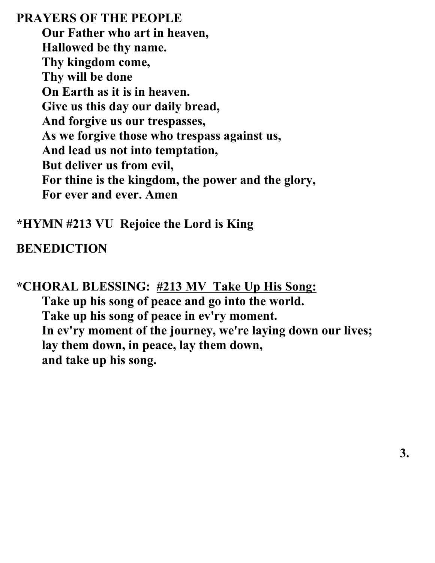**PRAYERS OF THE PEOPLE Our Father who art in heaven, Hallowed be thy name. Thy kingdom come, Thy will be done On Earth as it is in heaven. Give us this day our daily bread, And forgive us our trespasses, As we forgive those who trespass against us, And lead us not into temptation, But deliver us from evil, For thine is the kingdom, the power and the glory, For ever and ever. Amen** 

### **\*HYMN #213 VU Rejoice the Lord is King**

### **BENEDICTION**

#### **\*CHORAL BLESSING: #213 MV Take Up His Song:**

**Take up his song of peace and go into the world. Take up his song of peace in ev'ry moment. In ev'ry moment of the journey, we're laying down our lives; lay them down, in peace, lay them down, and take up his song.**